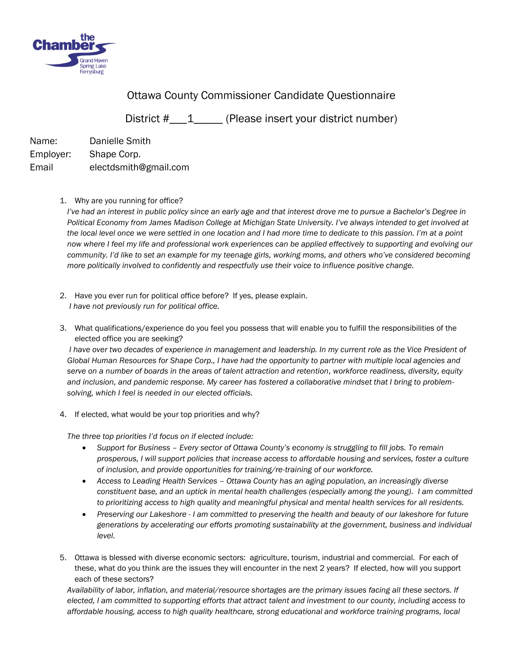

## Ottawa County Commissioner Candidate Questionnaire

District #  $\quad$  1 (Please insert your district number)

Name: Danielle Smith Employer: Shape Corp. Email electdsmith@gmail.com

1. Why are you running for office?

*I've had an interest in public policy since an early age and that interest drove me to pursue a Bachelor's Degree in Political Economy from James Madison College at Michigan State University. I've always intended to get involved at the local level once we were settled in one location and I had more time to dedicate to this passion. I'm at a point now where I feel my life and professional work experiences can be applied effectively to supporting and evolving our community. I'd like to set an example for my teenage girls, working moms, and others who've considered becoming more politically involved to confidently and respectfully use their voice to influence positive change.*

- 2. Have you ever run for political office before? If yes, please explain. *I have not previously run for political office.*
- 3. What qualifications/experience do you feel you possess that will enable you to fulfill the responsibilities of the elected office you are seeking?

*I* have over two decades of experience in management and leadership. In my current role as the Vice President of *Global Human Resources for Shape Corp., I have had the opportunity to partner with multiple local agencies and serve on a number of boards in the areas of talent attraction and retention, workforce readiness, diversity, equity and inclusion, and pandemic response. My career has fostered a collaborative mindset that I bring to problemsolving, which I feel is needed in our elected officials.* 

4. If elected, what would be your top priorities and why?

*The three top priorities I'd focus on if elected include:*

- *Support for Business – Every sector of Ottawa County's economy is struggling to fill jobs. To remain prosperous, I will support policies that increase access to affordable housing and services, foster a culture of inclusion, and provide opportunities for training/re-training of our workforce.*
- *Access to Leading Health Services – Ottawa County has an aging population, an increasingly diverse constituent base, and an uptick in mental health challenges (especially among the young). I am committed to prioritizing access to high quality and meaningful physical and mental health services for all residents.*
- *Preserving our Lakeshore - I am committed to preserving the health and beauty of our lakeshore for future generations by accelerating our efforts promoting sustainability at the government, business and individual level.*
- 5. Ottawa is blessed with diverse economic sectors: agriculture, tourism, industrial and commercial. For each of these, what do you think are the issues they will encounter in the next 2 years? If elected, how will you support each of these sectors?

*Availability of labor, inflation, and material/resource shortages are the primary issues facing all these sectors. If elected, I am committed to supporting efforts that attract talent and investment to our county, including access to affordable housing, access to high quality healthcare, strong educational and workforce training programs, local*